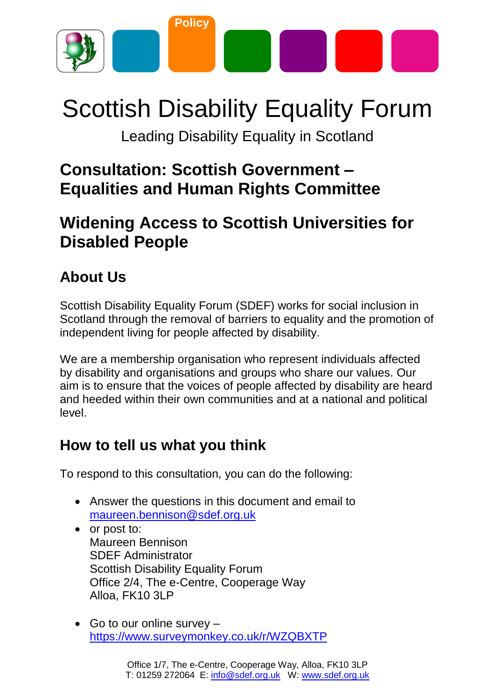

# Scottish Disability Equality Forum

Leading Disability Equality in Scotland

### **Consultation: Scottish Government – Equalities and Human Rights Committee**

## **Widening Access to Scottish Universities for Disabled People**

### **About Us**

Scottish Disability Equality Forum (SDEF) works for social inclusion in Scotland through the removal of barriers to equality and the promotion of independent living for people affected by disability.

We are a membership organisation who represent individuals affected by disability and organisations and groups who share our values. Our aim is to ensure that the voices of people affected by disability are heard and heeded within their own communities and at a national and political level.

### **How to tell us what you think**

To respond to this consultation, you can do the following:

- Answer the questions in this document and email to [maureen.bennison@sdef.org.uk](mailto:maureen.bennison@sdef.org.uk)
- or post to: Maureen Bennison SDEF Administrator Scottish Disability Equality Forum Office 2/4, The e-Centre, Cooperage Way Alloa, FK10 3LP
- Go to our online survey  $$ <https://www.surveymonkey.co.uk/r/WZQBXTP>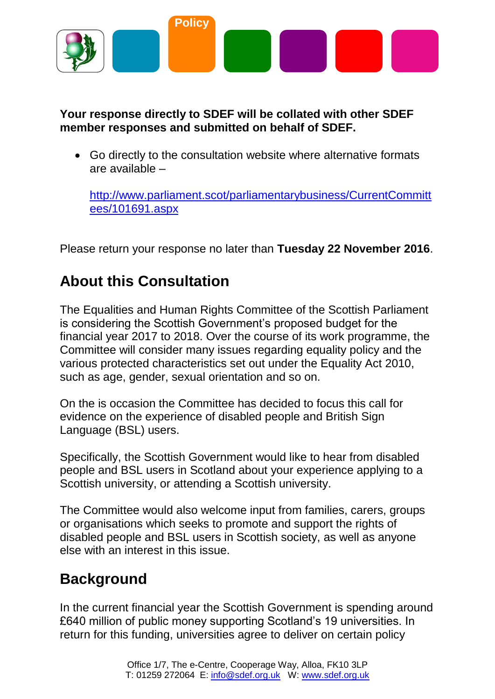

#### **Your response directly to SDEF will be collated with other SDEF member responses and submitted on behalf of SDEF.**

 Go directly to the consultation website where alternative formats are available –

[http://www.parliament.scot/parliamentarybusiness/CurrentCommitt](http://www.parliament.scot/parliamentarybusiness/CurrentCommittees/101691.aspx) [ees/101691.aspx](http://www.parliament.scot/parliamentarybusiness/CurrentCommittees/101691.aspx)

Please return your response no later than **Tuesday 22 November 2016**.

### **About this Consultation**

The Equalities and Human Rights Committee of the Scottish Parliament is considering the Scottish Government's proposed budget for the financial year 2017 to 2018. Over the course of its work programme, the Committee will consider many issues regarding equality policy and the various protected characteristics set out under the Equality Act 2010, such as age, gender, sexual orientation and so on.

On the is occasion the Committee has decided to focus this call for evidence on the experience of disabled people and British Sign Language (BSL) users.

Specifically, the Scottish Government would like to hear from disabled people and BSL users in Scotland about your experience applying to a Scottish university, or attending a Scottish university.

The Committee would also welcome input from families, carers, groups or organisations which seeks to promote and support the rights of disabled people and BSL users in Scottish society, as well as anyone else with an interest in this issue.

### **Background**

In the current financial year the Scottish Government is spending around £640 million of public money supporting Scotland's 19 universities. In return for this funding, universities agree to deliver on certain policy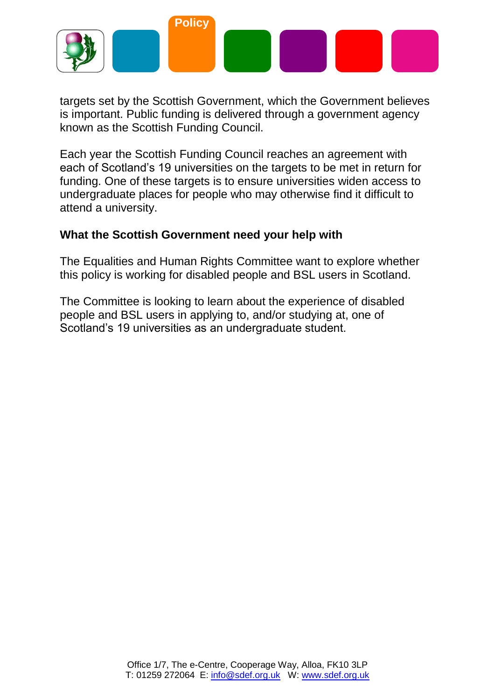

targets set by the Scottish Government, which the Government believes is important. Public funding is delivered through a government agency known as the Scottish Funding Council.

Each year the Scottish Funding Council reaches an agreement with each of Scotland's 19 universities on the targets to be met in return for funding. One of these targets is to ensure universities widen access to undergraduate places for people who may otherwise find it difficult to attend a university.

#### **What the Scottish Government need your help with**

The Equalities and Human Rights Committee want to explore whether this policy is working for disabled people and BSL users in Scotland.

The Committee is looking to learn about the experience of disabled people and BSL users in applying to, and/or studying at, one of Scotland's 19 universities as an undergraduate student.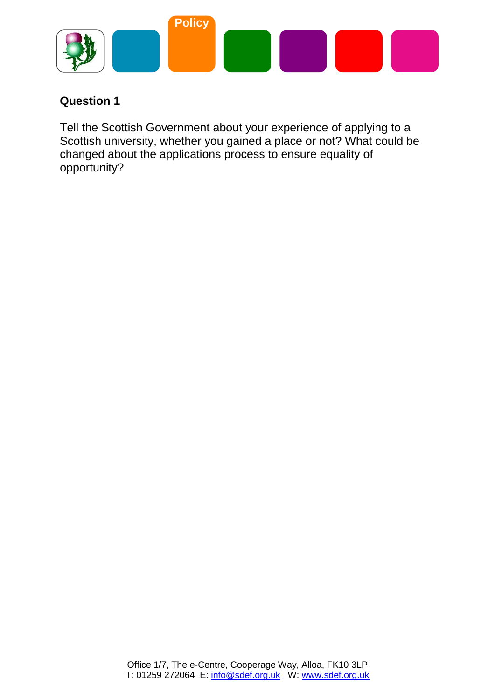

Tell the Scottish Government about your experience of applying to a Scottish university, whether you gained a place or not? What could be changed about the applications process to ensure equality of opportunity?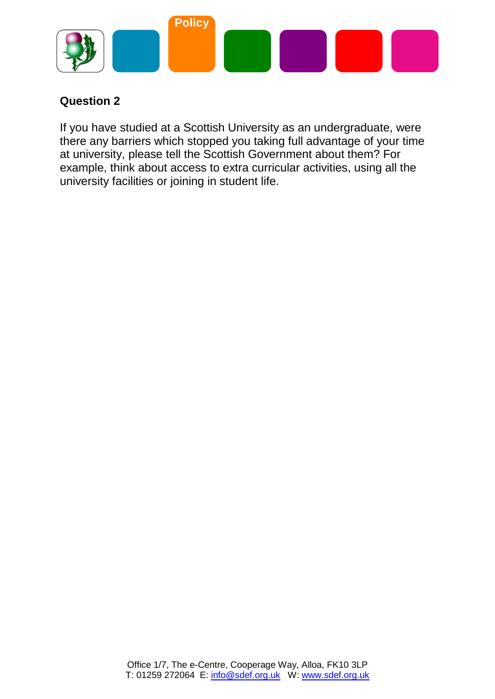

If you have studied at a Scottish University as an undergraduate, were there any barriers which stopped you taking full advantage of your time at university, please tell the Scottish Government about them? For example, think about access to extra curricular activities, using all the university facilities or joining in student life.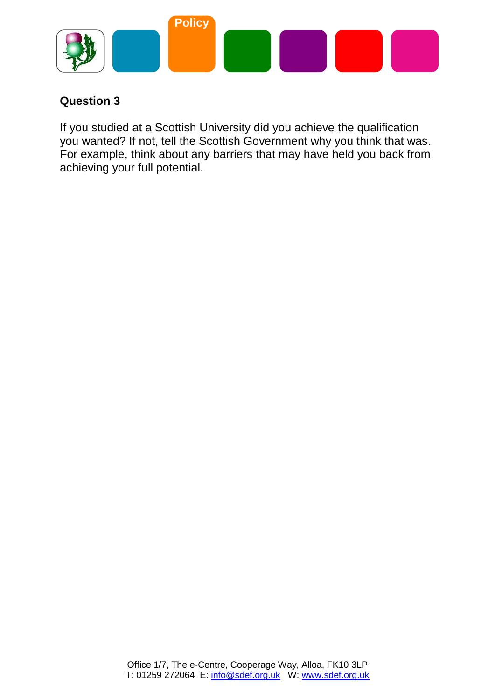

If you studied at a Scottish University did you achieve the qualification you wanted? If not, tell the Scottish Government why you think that was. For example, think about any barriers that may have held you back from achieving your full potential.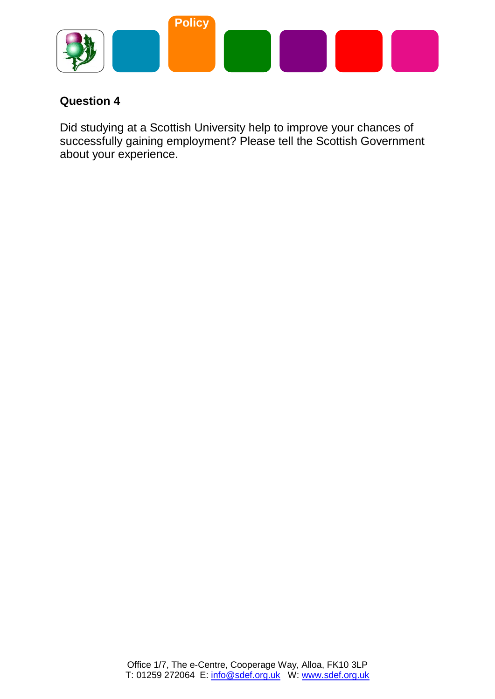

Did studying at a Scottish University help to improve your chances of successfully gaining employment? Please tell the Scottish Government about your experience.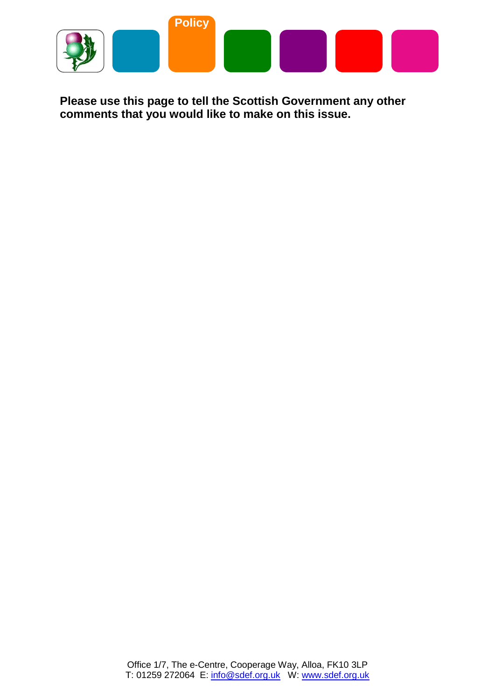

**Please use this page to tell the Scottish Government any other comments that you would like to make on this issue.**